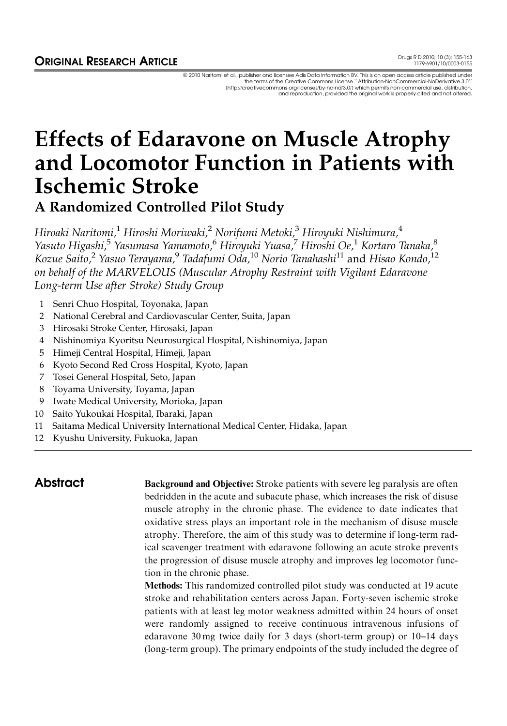ª 2010 Naritomi et al., publisher and licensee Adis Data Information BV. This is an open access article published under the terms of the Creative Commons License ''Attribution-NonCommercial-NoDerivative 3.0'' (http://creativecommons.org/licenses/by-nc-nd/3.0/) which permits non-commercial use, distribution, and reproduction, provided the original work is properly cited and not altered.

# Effects of Edaravone on Muscle Atrophy and Locomotor Function in Patients with Ischemic Stroke

A Randomized Controlled Pilot Study

Hiroaki Naritomi,<sup>1</sup> Hiroshi Moriwaki,<sup>2</sup> Norifumi Metoki,<sup>3</sup> Hiroyuki Nishimura,<sup>4</sup> Yasuto Higashi,<sup>5</sup> Yasumasa Yamamoto,<sup>6</sup> Hiroyuki Yuasa,<sup>7</sup> Hiroshi Oe,<sup>1</sup> Kortaro Tanaka,<sup>8</sup> Kozue Saito,<sup>2</sup> Yasuo Terayama,<sup>9</sup> Tadafumi Oda,<sup>10</sup> Norio Tanahashi<sup>11</sup> and Hisao Kondo,<sup>12</sup> on behalf of the MARVELOUS (Muscular Atrophy Restraint with Vigilant Edaravone Long-term Use after Stroke) Study Group

- 1 Senri Chuo Hospital, Toyonaka, Japan
- 2 National Cerebral and Cardiovascular Center, Suita, Japan
- 3 Hirosaki Stroke Center, Hirosaki, Japan
- 4 Nishinomiya Kyoritsu Neurosurgical Hospital, Nishinomiya, Japan
- 5 Himeji Central Hospital, Himeji, Japan
- 6 Kyoto Second Red Cross Hospital, Kyoto, Japan
- 7 Tosei General Hospital, Seto, Japan
- 8 Toyama University, Toyama, Japan
- 9 Iwate Medical University, Morioka, Japan
- 10 Saito Yukoukai Hospital, Ibaraki, Japan
- 11 Saitama Medical University International Medical Center, Hidaka, Japan
- 12 Kyushu University, Fukuoka, Japan

Abstract Background and Objective: Stroke patients with severe leg paralysis are often bedridden in the acute and subacute phase, which increases the risk of disuse muscle atrophy in the chronic phase. The evidence to date indicates that oxidative stress plays an important role in the mechanism of disuse muscle atrophy. Therefore, the aim of this study was to determine if long-term radical scavenger treatment with edaravone following an acute stroke prevents the progression of disuse muscle atrophy and improves leg locomotor function in the chronic phase.

> Methods: This randomized controlled pilot study was conducted at 19 acute stroke and rehabilitation centers across Japan. Forty-seven ischemic stroke patients with at least leg motor weakness admitted within 24 hours of onset were randomly assigned to receive continuous intravenous infusions of edaravone 30 mg twice daily for 3 days (short-term group) or 10–14 days (long-term group). The primary endpoints of the study included the degree of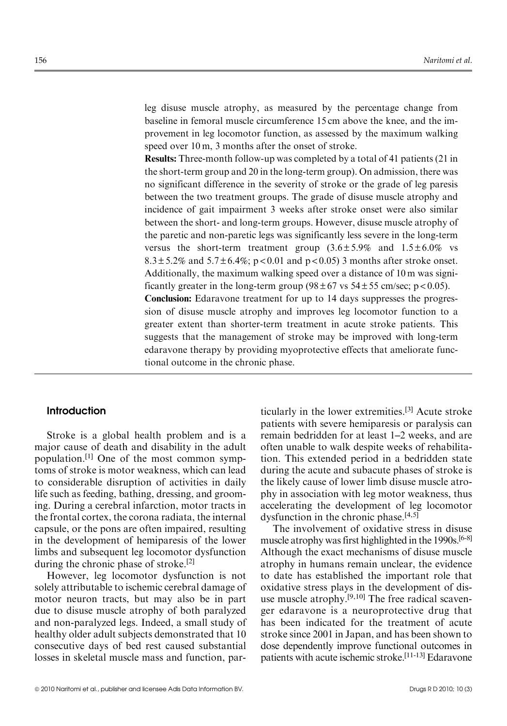leg disuse muscle atrophy, as measured by the percentage change from baseline in femoral muscle circumference 15 cm above the knee, and the improvement in leg locomotor function, as assessed by the maximum walking speed over 10 m, 3 months after the onset of stroke.

Results: Three-month follow-up was completed by a total of 41 patients (21 in the short-term group and 20 in the long-term group). On admission, there was no significant difference in the severity of stroke or the grade of leg paresis between the two treatment groups. The grade of disuse muscle atrophy and incidence of gait impairment 3 weeks after stroke onset were also similar between the short- and long-term groups. However, disuse muscle atrophy of the paretic and non-paretic legs was significantly less severe in the long-term versus the short-term treatment group  $(3.6 \pm 5.9\%$  and  $1.5 \pm 6.0\%$  vs 8.3  $\pm$  5.2% and 5.7  $\pm$  6.4%; p < 0.01 and p < 0.05) 3 months after stroke onset. Additionally, the maximum walking speed over a distance of 10 m was significantly greater in the long-term group  $(98 \pm 67 \text{ vs } 54 \pm 55 \text{ cm/sec}; \text{ p} < 0.05)$ . Conclusion: Edaravone treatment for up to 14 days suppresses the progression of disuse muscle atrophy and improves leg locomotor function to a greater extent than shorter-term treatment in acute stroke patients. This suggests that the management of stroke may be improved with long-term edaravone therapy by providing myoprotective effects that ameliorate functional outcome in the chronic phase.

# **Introduction**

Stroke is a global health problem and is a major cause of death and disability in the adult population.[1] One of the most common symptoms of stroke is motor weakness, which can lead to considerable disruption of activities in daily life such as feeding, bathing, dressing, and grooming. During a cerebral infarction, motor tracts in the frontal cortex, the corona radiata, the internal capsule, or the pons are often impaired, resulting in the development of hemiparesis of the lower limbs and subsequent leg locomotor dysfunction during the chronic phase of stroke.<sup>[2]</sup>

However, leg locomotor dysfunction is not solely attributable to ischemic cerebral damage of motor neuron tracts, but may also be in part due to disuse muscle atrophy of both paralyzed and non-paralyzed legs. Indeed, a small study of healthy older adult subjects demonstrated that 10 consecutive days of bed rest caused substantial losses in skeletal muscle mass and function, particularly in the lower extremities.[3] Acute stroke patients with severe hemiparesis or paralysis can remain bedridden for at least 1–2 weeks, and are often unable to walk despite weeks of rehabilitation. This extended period in a bedridden state during the acute and subacute phases of stroke is the likely cause of lower limb disuse muscle atrophy in association with leg motor weakness, thus accelerating the development of leg locomotor dysfunction in the chronic phase. $[4,5]$ 

The involvement of oxidative stress in disuse muscle atrophy was first highlighted in the  $1990s$ .<sup>[6-8]</sup> Although the exact mechanisms of disuse muscle atrophy in humans remain unclear, the evidence to date has established the important role that oxidative stress plays in the development of disuse muscle atrophy.<sup>[9,10]</sup> The free radical scavenger edaravone is a neuroprotective drug that has been indicated for the treatment of acute stroke since 2001 in Japan, and has been shown to dose dependently improve functional outcomes in patients with acute ischemic stroke.[11-13] Edaravone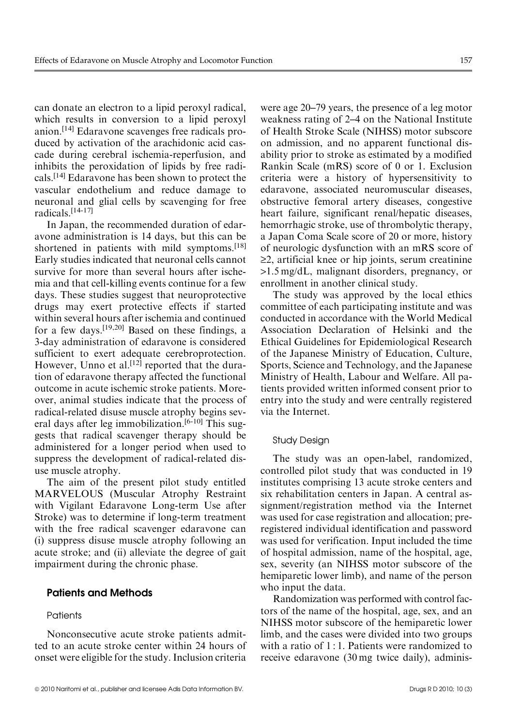can donate an electron to a lipid peroxyl radical, which results in conversion to a lipid peroxyl anion.[14] Edaravone scavenges free radicals produced by activation of the arachidonic acid cascade during cerebral ischemia-reperfusion, and inhibits the peroxidation of lipids by free radicals.[14] Edaravone has been shown to protect the vascular endothelium and reduce damage to neuronal and glial cells by scavenging for free radicals.[14-17]

In Japan, the recommended duration of edaravone administration is 14 days, but this can be shortened in patients with mild symptoms.<sup>[18]</sup> Early studies indicated that neuronal cells cannot survive for more than several hours after ischemia and that cell-killing events continue for a few days. These studies suggest that neuroprotective drugs may exert protective effects if started within several hours after ischemia and continued for a few days.<sup>[19,20]</sup> Based on these findings, a 3-day administration of edaravone is considered sufficient to exert adequate cerebroprotection. However, Unno et al.<sup>[12]</sup> reported that the duration of edaravone therapy affected the functional outcome in acute ischemic stroke patients. Moreover, animal studies indicate that the process of radical-related disuse muscle atrophy begins several days after leg immobilization.<sup>[6-10]</sup> This suggests that radical scavenger therapy should be administered for a longer period when used to suppress the development of radical-related disuse muscle atrophy.

The aim of the present pilot study entitled MARVELOUS (Muscular Atrophy Restraint with Vigilant Edaravone Long-term Use after Stroke) was to determine if long-term treatment with the free radical scavenger edaravone can (i) suppress disuse muscle atrophy following an acute stroke; and (ii) alleviate the degree of gait impairment during the chronic phase.

# Patients and Methods

# **Patients**

Nonconsecutive acute stroke patients admitted to an acute stroke center within 24 hours of onset were eligible for the study. Inclusion criteria

were age 20–79 years, the presence of a leg motor weakness rating of 2–4 on the National Institute of Health Stroke Scale (NIHSS) motor subscore on admission, and no apparent functional disability prior to stroke as estimated by a modified Rankin Scale (mRS) score of 0 or 1. Exclusion criteria were a history of hypersensitivity to edaravone, associated neuromuscular diseases, obstructive femoral artery diseases, congestive heart failure, significant renal/hepatic diseases, hemorrhagic stroke, use of thrombolytic therapy, a Japan Coma Scale score of 20 or more, history of neurologic dysfunction with an mRS score of  $\geq$ 2, artificial knee or hip joints, serum creatinine >1.5 mg/dL, malignant disorders, pregnancy, or enrollment in another clinical study.

The study was approved by the local ethics committee of each participating institute and was conducted in accordance with the World Medical Association Declaration of Helsinki and the Ethical Guidelines for Epidemiological Research of the Japanese Ministry of Education, Culture, Sports, Science and Technology, and the Japanese Ministry of Health, Labour and Welfare. All patients provided written informed consent prior to entry into the study and were centrally registered via the Internet.

#### Study Design

The study was an open-label, randomized, controlled pilot study that was conducted in 19 institutes comprising 13 acute stroke centers and six rehabilitation centers in Japan. A central assignment/registration method via the Internet was used for case registration and allocation; preregistered individual identification and password was used for verification. Input included the time of hospital admission, name of the hospital, age, sex, severity (an NIHSS motor subscore of the hemiparetic lower limb), and name of the person who input the data.

Randomization was performed with control factors of the name of the hospital, age, sex, and an NIHSS motor subscore of the hemiparetic lower limb, and the cases were divided into two groups with a ratio of 1:1. Patients were randomized to receive edaravone (30 mg twice daily), adminis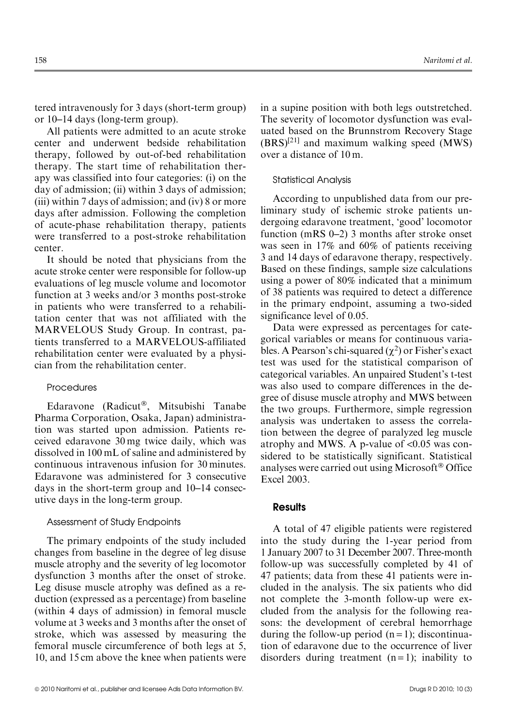tered intravenously for 3 days (short-term group) or 10–14 days (long-term group).

All patients were admitted to an acute stroke center and underwent bedside rehabilitation therapy, followed by out-of-bed rehabilitation therapy. The start time of rehabilitation therapy was classified into four categories: (i) on the day of admission; (ii) within 3 days of admission; (iii) within 7 days of admission; and (iv) 8 or more days after admission. Following the completion of acute-phase rehabilitation therapy, patients were transferred to a post-stroke rehabilitation center.

It should be noted that physicians from the acute stroke center were responsible for follow-up evaluations of leg muscle volume and locomotor function at 3 weeks and/or 3 months post-stroke in patients who were transferred to a rehabilitation center that was not affiliated with the MARVELOUS Study Group. In contrast, patients transferred to a MARVELOUS-affiliated rehabilitation center were evaluated by a physician from the rehabilitation center.

# **Procedures**

Edaravone (Radicut®, Mitsubishi Tanabe Pharma Corporation, Osaka, Japan) administration was started upon admission. Patients received edaravone 30 mg twice daily, which was dissolved in 100 mL of saline and administered by continuous intravenous infusion for 30 minutes. Edaravone was administered for 3 consecutive days in the short-term group and 10–14 consecutive days in the long-term group.

## Assessment of Study Endpoints

The primary endpoints of the study included changes from baseline in the degree of leg disuse muscle atrophy and the severity of leg locomotor dysfunction 3 months after the onset of stroke. Leg disuse muscle atrophy was defined as a reduction (expressed as a percentage) from baseline (within 4 days of admission) in femoral muscle volume at 3 weeks and 3 months after the onset of stroke, which was assessed by measuring the femoral muscle circumference of both legs at 5, 10, and 15 cm above the knee when patients were in a supine position with both legs outstretched. The severity of locomotor dysfunction was evaluated based on the Brunnstrom Recovery Stage  $(BRS)^{[21]}$  and maximum walking speed (MWS) over a distance of 10 m.

#### Statistical Analysis

According to unpublished data from our preliminary study of ischemic stroke patients undergoing edaravone treatment, 'good' locomotor function (mRS 0–2) 3 months after stroke onset was seen in 17% and 60% of patients receiving 3 and 14 days of edaravone therapy, respectively. Based on these findings, sample size calculations using a power of 80% indicated that a minimum of 38 patients was required to detect a difference in the primary endpoint, assuming a two-sided significance level of 0.05.

Data were expressed as percentages for categorical variables or means for continuous variables. A Pearson's chi-squared  $(\chi^2)$  or Fisher's exact test was used for the statistical comparison of categorical variables. An unpaired Student's t-test was also used to compare differences in the degree of disuse muscle atrophy and MWS between the two groups. Furthermore, simple regression analysis was undertaken to assess the correlation between the degree of paralyzed leg muscle atrophy and MWS. A p-value of <0.05 was considered to be statistically significant. Statistical analyses were carried out using Microsoft® Office Excel 2003.

# **Results**

A total of 47 eligible patients were registered into the study during the 1-year period from 1 January 2007 to 31 December 2007. Three-month follow-up was successfully completed by 41 of 47 patients; data from these 41 patients were included in the analysis. The six patients who did not complete the 3-month follow-up were excluded from the analysis for the following reasons: the development of cerebral hemorrhage during the follow-up period  $(n=1)$ ; discontinuation of edaravone due to the occurrence of liver disorders during treatment  $(n=1)$ ; inability to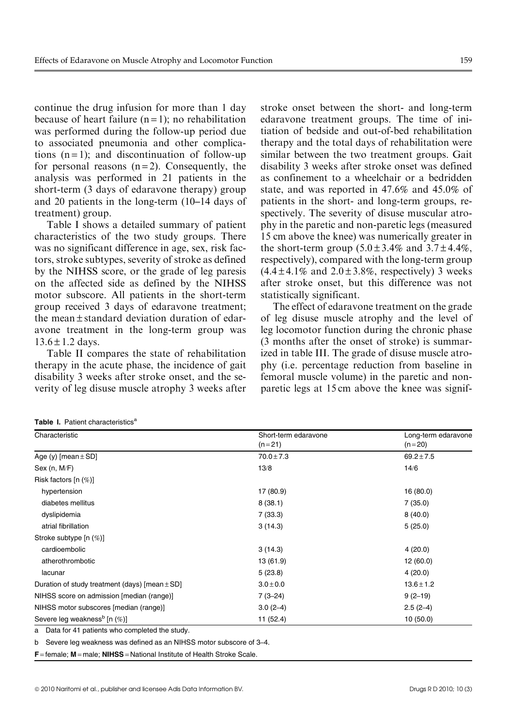continue the drug infusion for more than 1 day because of heart failure  $(n=1)$ ; no rehabilitation was performed during the follow-up period due to associated pneumonia and other complications  $(n=1)$ ; and discontinuation of follow-up for personal reasons  $(n=2)$ . Consequently, the analysis was performed in 21 patients in the short-term (3 days of edaravone therapy) group and 20 patients in the long-term (10–14 days of treatment) group.

Table I shows a detailed summary of patient characteristics of the two study groups. There was no significant difference in age, sex, risk factors, stroke subtypes, severity of stroke as defined by the NIHSS score, or the grade of leg paresis on the affected side as defined by the NIHSS motor subscore. All patients in the short-term group received 3 days of edaravone treatment; the mean $\pm$ standard deviation duration of edaravone treatment in the long-term group was  $13.6 \pm 1.2$  days.

Table II compares the state of rehabilitation therapy in the acute phase, the incidence of gait disability 3 weeks after stroke onset, and the severity of leg disuse muscle atrophy 3 weeks after stroke onset between the short- and long-term edaravone treatment groups. The time of initiation of bedside and out-of-bed rehabilitation therapy and the total days of rehabilitation were similar between the two treatment groups. Gait disability 3 weeks after stroke onset was defined as confinement to a wheelchair or a bedridden state, and was reported in 47.6% and 45.0% of patients in the short- and long-term groups, respectively. The severity of disuse muscular atrophy in the paretic and non-paretic legs (measured 15 cm above the knee) was numerically greater in the short-term group  $(5.0 \pm 3.4\%$  and  $3.7 \pm 4.4\%$ , respectively), compared with the long-term group  $(4.4 \pm 4.1\%$  and  $2.0 \pm 3.8\%$ , respectively) 3 weeks after stroke onset, but this difference was not statistically significant.

The effect of edaravone treatment on the grade of leg disuse muscle atrophy and the level of leg locomotor function during the chronic phase (3 months after the onset of stroke) is summarized in table III. The grade of disuse muscle atrophy (i.e. percentage reduction from baseline in femoral muscle volume) in the paretic and nonparetic legs at 15 cm above the knee was signif-

| Characteristic                                     | Short-term edaravone<br>$(n=21)$ | Long-term edaravone<br>$(n=20)$ |  |  |
|----------------------------------------------------|----------------------------------|---------------------------------|--|--|
| Age (y) [mean $\pm$ SD]                            | $70.0 \pm 7.3$                   | $69.2 \pm 7.5$                  |  |  |
| Sex (n, M/F)                                       | 13/8                             | 14/6                            |  |  |
| Risk factors [n (%)]                               |                                  |                                 |  |  |
| hypertension                                       | 17 (80.9)                        | 16 (80.0)                       |  |  |
| diabetes mellitus                                  | 8(38.1)                          | 7(35.0)                         |  |  |
| dyslipidemia                                       | 7(33.3)                          | 8(40.0)                         |  |  |
| atrial fibrillation                                | 3(14.3)                          | 5(25.0)                         |  |  |
| Stroke subtype [n (%)]                             |                                  |                                 |  |  |
| cardioembolic                                      | 3(14.3)                          | 4(20.0)                         |  |  |
| atherothrombotic                                   | 13 (61.9)                        | 12(60.0)                        |  |  |
| lacunar                                            | 5(23.8)                          | 4(20.0)                         |  |  |
| Duration of study treatment (days) [mean $\pm$ SD] | $3.0 \pm 0.0$                    | $13.6 \pm 1.2$                  |  |  |
| NIHSS score on admission [median (range)]          | $7(3-24)$                        | $9(2-19)$                       |  |  |
| NIHSS motor subscores [median (range)]             | $3.0(2-4)$                       | $2.5(2-4)$                      |  |  |
| Severe leg weakness <sup>b</sup> [n (%)]           | 11 (52.4)                        | 10(50.0)                        |  |  |

Table I. Patient characteristics<sup>a</sup>

Data for 41 patients who completed the study.

b Severe leg weakness was defined as an NIHSS motor subscore of 3–4.

F <sup>=</sup> female; M <sup>=</sup> male; NIHSS <sup>=</sup> National Institute of Health Stroke Scale.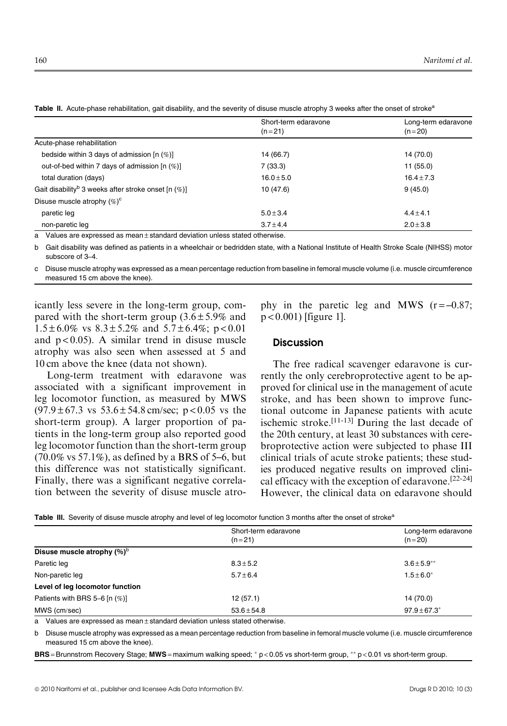|                                                                     | Short-term edaravone | Long-term edaravone |  |  |
|---------------------------------------------------------------------|----------------------|---------------------|--|--|
|                                                                     | $(n=21)$             | $(n=20)$            |  |  |
| Acute-phase rehabilitation                                          |                      |                     |  |  |
| bedside within 3 days of admission $[n (\%)]$                       | 14 (66.7)            | 14 (70.0)           |  |  |
| out-of-bed within 7 days of admission [n (%)]                       | 7(33.3)              | 11(55.0)            |  |  |
| total duration (days)                                               | $16.0 \pm 5.0$       | $16.4 \pm 7.3$      |  |  |
| Gait disability <sup>b</sup> 3 weeks after stroke onset [n $(\%)$ ] | 10(47.6)             | 9(45.0)             |  |  |
| Disuse muscle atrophy $(\%)^c$                                      |                      |                     |  |  |
| paretic leg                                                         | $5.0 + 3.4$          | $4.4 + 4.1$         |  |  |
| non-paretic leg                                                     | $3.7 + 4.4$          | $2.0 \pm 3.8$       |  |  |

Table II. Acute-phase rehabilitation, gait disability, and the severity of disuse muscle atrophy 3 weeks after the onset of stroke<sup>a</sup>

Values are expressed as mean  $\pm$  standard deviation unless stated otherwise.

b Gait disability was defined as patients in a wheelchair or bedridden state, with a National Institute of Health Stroke Scale (NIHSS) motor subscore of 3–4.

c Disuse muscle atrophy was expressed as a mean percentage reduction from baseline in femoral muscle volume (i.e. muscle circumference measured 15 cm above the knee).

icantly less severe in the long-term group, compared with the short-term group  $(3.6 \pm 5.9\%$  and  $1.5 \pm 6.0\%$  vs  $8.3 \pm 5.2\%$  and  $5.7 \pm 6.4\%$ ; p < 0.01 and  $p < 0.05$ ). A similar trend in disuse muscle atrophy was also seen when assessed at 5 and 10 cm above the knee (data not shown).

Long-term treatment with edaravone was associated with a significant improvement in leg locomotor function, as measured by MWS  $(97.9 \pm 67.3 \text{ vs } 53.6 \pm 54.8 \text{ cm/sec}; \text{ p} < 0.05 \text{ vs } \text{the}$ short-term group). A larger proportion of patients in the long-term group also reported good leg locomotor function than the short-term group  $(70.0\% \text{ vs } 57.1\%)$ , as defined by a BRS of 5–6, but this difference was not statistically significant. Finally, there was a significant negative correlation between the severity of disuse muscle atrophy in the paretic leg and MWS  $(r = -0.87)$ ; p < 0.001) [figure 1].

# **Discussion**

The free radical scavenger edaravone is currently the only cerebroprotective agent to be approved for clinical use in the management of acute stroke, and has been shown to improve functional outcome in Japanese patients with acute ischemic stroke.[11-13] During the last decade of the 20th century, at least 30 substances with cerebroprotective action were subjected to phase III clinical trials of acute stroke patients; these studies produced negative results on improved clinical efficacy with the exception of edaravone.[22-24] However, the clinical data on edaravone should

| Table III. Severity of disuse muscle atrophy and level of leg locomotor function 3 months after the onset of stroke <sup>a</sup> |  |  |  |  |  |  |
|----------------------------------------------------------------------------------------------------------------------------------|--|--|--|--|--|--|
|                                                                                                                                  |  |  |  |  |  |  |

|                                   | Short-term edaravone | Long-term edaravone |  |  |
|-----------------------------------|----------------------|---------------------|--|--|
|                                   | $(n=21)$             | $(n=20)$            |  |  |
| Disuse muscle atrophy $(%)^b$     |                      |                     |  |  |
| Paretic leg                       | $8.3 \pm 5.2$        | $3.6 \pm 5.9***$    |  |  |
| Non-paretic leg                   | $5.7 + 6.4$          | $1.5 \pm 6.0^*$     |  |  |
| Level of leg locomotor function   |                      |                     |  |  |
| Patients with BRS 5-6 [n $(\%)$ ] | 12(57.1)             | 14 (70.0)           |  |  |
| MWS (cm/sec)                      | $53.6 \pm 54.8$      | $97.9 \pm 67.3^*$   |  |  |

a Values are expressed as mean $\pm$  standard deviation unless stated otherwise.

b Disuse muscle atrophy was expressed as a mean percentage reduction from baseline in femoral muscle volume (i.e. muscle circumference measured 15 cm above the knee).

BRS = Brunnstrom Recovery Stage; MWS = maximum walking speed; \* p < 0.05 vs short-term group, \*\* p < 0.01 vs short-term group.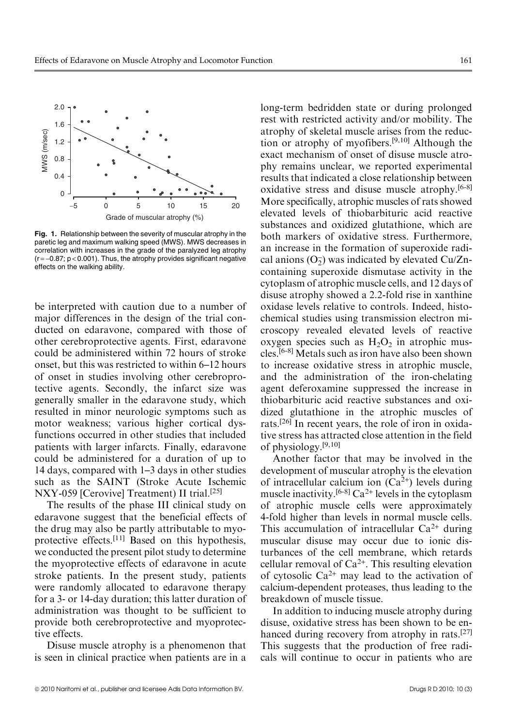

Fig. 1. Relationship between the severity of muscular atrophy in the paretic leg and maximum walking speed (MWS). MWS decreases in correlation with increases in the grade of the paralyzed leg atrophy  $(r = -0.87; p < 0.001)$ . Thus, the atrophy provides significant negative effects on the walking ability.

be interpreted with caution due to a number of major differences in the design of the trial conducted on edaravone, compared with those of other cerebroprotective agents. First, edaravone could be administered within 72 hours of stroke onset, but this was restricted to within 6–12 hours of onset in studies involving other cerebroprotective agents. Secondly, the infarct size was generally smaller in the edaravone study, which resulted in minor neurologic symptoms such as motor weakness; various higher cortical dysfunctions occurred in other studies that included patients with larger infarcts. Finally, edaravone could be administered for a duration of up to 14 days, compared with 1–3 days in other studies such as the SAINT (Stroke Acute Ischemic NXY-059 [Cerovive] Treatment) II trial.<sup>[25]</sup>

The results of the phase III clinical study on edaravone suggest that the beneficial effects of the drug may also be partly attributable to myoprotective effects.[11] Based on this hypothesis, we conducted the present pilot study to determine the myoprotective effects of edaravone in acute stroke patients. In the present study, patients were randomly allocated to edaravone therapy for a 3- or 14-day duration; this latter duration of administration was thought to be sufficient to provide both cerebroprotective and myoprotective effects.

Disuse muscle atrophy is a phenomenon that is seen in clinical practice when patients are in a long-term bedridden state or during prolonged rest with restricted activity and/or mobility. The atrophy of skeletal muscle arises from the reduction or atrophy of myofibers.[9,10] Although the exact mechanism of onset of disuse muscle atrophy remains unclear, we reported experimental results that indicated a close relationship between oxidative stress and disuse muscle atrophy.[6-8] More specifically, atrophic muscles of rats showed elevated levels of thiobarbituric acid reactive substances and oxidized glutathione, which are both markers of oxidative stress. Furthermore, an increase in the formation of superoxide radical anions  $(O_2^-)$  was indicated by elevated Cu/Zncontaining superoxide dismutase activity in the cytoplasm of atrophic muscle cells, and 12 days of disuse atrophy showed a 2.2-fold rise in xanthine oxidase levels relative to controls. Indeed, histochemical studies using transmission electron microscopy revealed elevated levels of reactive oxygen species such as  $H_2O_2$  in atrophic muscles.[6-8] Metals such as iron have also been shown to increase oxidative stress in atrophic muscle, and the administration of the iron-chelating agent deferoxamine suppressed the increase in thiobarbituric acid reactive substances and oxidized glutathione in the atrophic muscles of rats.[26] In recent years, the role of iron in oxidative stress has attracted close attention in the field of physiology.[9,10]

Another factor that may be involved in the development of muscular atrophy is the elevation of intracellular calcium ion  $(Ca^{2+})$  levels during muscle inactivity.<sup>[6-8]</sup> Ca<sup>2+</sup> levels in the cytoplasm of atrophic muscle cells were approximately 4-fold higher than levels in normal muscle cells. This accumulation of intracellular  $Ca^{2+}$  during muscular disuse may occur due to ionic disturbances of the cell membrane, which retards cellular removal of  $Ca^{2+}$ . This resulting elevation of cytosolic  $Ca^{2+}$  may lead to the activation of calcium-dependent proteases, thus leading to the breakdown of muscle tissue.

In addition to inducing muscle atrophy during disuse, oxidative stress has been shown to be enhanced during recovery from atrophy in rats.<sup>[27]</sup> This suggests that the production of free radicals will continue to occur in patients who are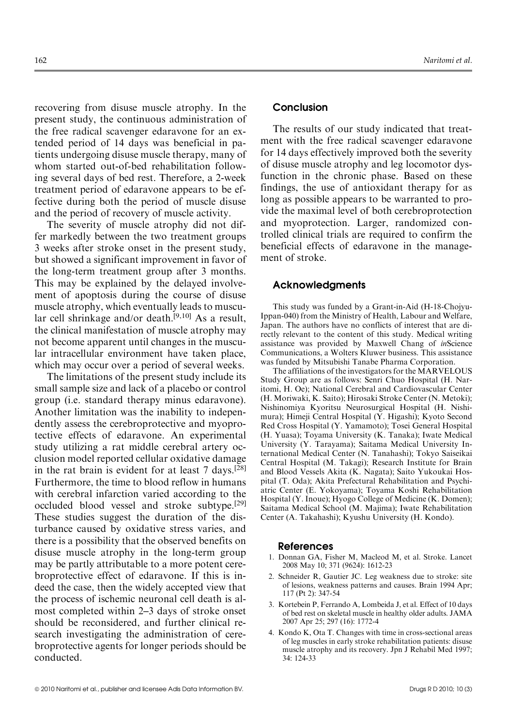recovering from disuse muscle atrophy. In the present study, the continuous administration of the free radical scavenger edaravone for an extended period of 14 days was beneficial in patients undergoing disuse muscle therapy, many of whom started out-of-bed rehabilitation following several days of bed rest. Therefore, a 2-week treatment period of edaravone appears to be effective during both the period of muscle disuse and the period of recovery of muscle activity.

The severity of muscle atrophy did not differ markedly between the two treatment groups 3 weeks after stroke onset in the present study, but showed a significant improvement in favor of the long-term treatment group after 3 months. This may be explained by the delayed involvement of apoptosis during the course of disuse muscle atrophy, which eventually leads to muscular cell shrinkage and/or death. $[9,10]$  As a result, the clinical manifestation of muscle atrophy may not become apparent until changes in the muscular intracellular environment have taken place, which may occur over a period of several weeks.

The limitations of the present study include its small sample size and lack of a placebo or control group (i.e. standard therapy minus edaravone). Another limitation was the inability to independently assess the cerebroprotective and myoprotective effects of edaravone. An experimental study utilizing a rat middle cerebral artery occlusion model reported cellular oxidative damage in the rat brain is evident for at least  $7 \text{ days}$ . [28] Furthermore, the time to blood reflow in humans with cerebral infarction varied according to the occluded blood vessel and stroke subtype.[29] These studies suggest the duration of the disturbance caused by oxidative stress varies, and there is a possibility that the observed benefits on disuse muscle atrophy in the long-term group may be partly attributable to a more potent cerebroprotective effect of edaravone. If this is indeed the case, then the widely accepted view that the process of ischemic neuronal cell death is almost completed within 2–3 days of stroke onset should be reconsidered, and further clinical research investigating the administration of cerebroprotective agents for longer periods should be conducted.

# Conclusion

The results of our study indicated that treatment with the free radical scavenger edaravone for 14 days effectively improved both the severity of disuse muscle atrophy and leg locomotor dysfunction in the chronic phase. Based on these findings, the use of antioxidant therapy for as long as possible appears to be warranted to provide the maximal level of both cerebroprotection and myoprotection. Larger, randomized controlled clinical trials are required to confirm the beneficial effects of edaravone in the management of stroke.

#### Acknowledgments

This study was funded by a Grant-in-Aid (H-18-Chojyu-Ippan-040) from the Ministry of Health, Labour and Welfare, Japan. The authors have no conflicts of interest that are directly relevant to the content of this study. Medical writing assistance was provided by Maxwell Chang of inScience Communications, a Wolters Kluwer business. This assistance was funded by Mitsubishi Tanabe Pharma Corporation.

The affiliations of the investigators for the MARVELOUS Study Group are as follows: Senri Chuo Hospital (H. Naritomi, H. Oe); National Cerebral and Cardiovascular Center (H. Moriwaki, K. Saito); Hirosaki Stroke Center (N. Metoki); Nishinomiya Kyoritsu Neurosurgical Hospital (H. Nishimura); Himeji Central Hospital (Y. Higashi); Kyoto Second Red Cross Hospital (Y. Yamamoto); Tosei General Hospital (H. Yuasa); Toyama University (K. Tanaka); Iwate Medical University (Y. Tarayama); Saitama Medical University International Medical Center (N. Tanahashi); Tokyo Saiseikai Central Hospital (M. Takagi); Research Institute for Brain and Blood Vessels Akita (K. Nagata); Saito Yukoukai Hospital (T. Oda); Akita Prefectural Rehabilitation and Psychiatric Center (E. Yokoyama); Toyama Koshi Rehabilitation Hospital (Y. Inoue); Hyogo College of Medicine (K. Domen); Saitama Medical School (M. Majima); Iwate Rehabilitation Center (A. Takahashi); Kyushu University (H. Kondo).

#### References

- 1. Donnan GA, Fisher M, Macleod M, et al. Stroke. Lancet 2008 May 10; 371 (9624): 1612-23
- 2. Schneider R, Gautier JC. Leg weakness due to stroke: site of lesions, weakness patterns and causes. Brain 1994 Apr; 117 (Pt 2): 347-54
- 3. Kortebein P, Ferrando A, Lombeida J, et al. Effect of 10 days of bed rest on skeletal muscle in healthy older adults. JAMA 2007 Apr 25; 297 (16): 1772-4
- 4. Kondo K, Ota T. Changes with time in cross-sectional areas of leg muscles in early stroke rehabilitation patients: disuse muscle atrophy and its recovery. Jpn J Rehabil Med 1997; 34: 124-33